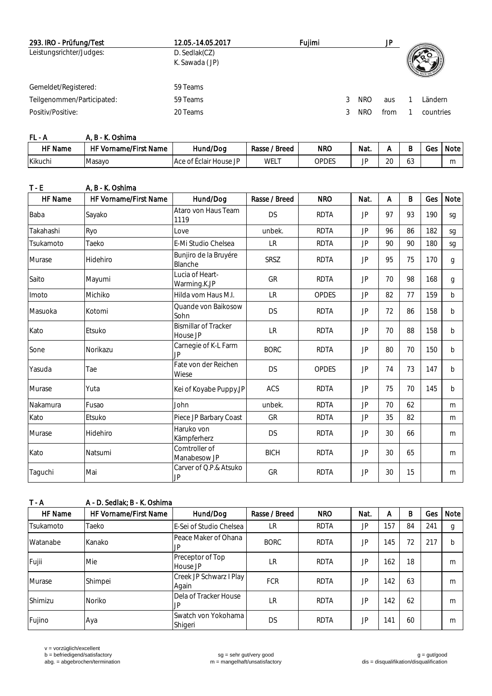| 293. IRO - Prüfung/Test    | 12.05.-14.05.2017               | Fuiimi |            | JP.  |           |
|----------------------------|---------------------------------|--------|------------|------|-----------|
| Leistungsrichter/Judges:   | D. Sedlak(CZ)<br>K. Sawada (JP) |        |            |      |           |
| Gemeldet/Registered:       | 59 Teams                        |        |            |      |           |
| Teilgenommen/Participated: | 59 Teams                        |        | <b>NRO</b> | aus  | Ländern   |
| Positiv/Positive:          | 20 Teams                        |        | NRO        | from | countries |

| FL - A         | . B - K. Oshima       |                        |                      |            |      |              |          |     |      |
|----------------|-----------------------|------------------------|----------------------|------------|------|--------------|----------|-----|------|
| <b>HF</b> Name | HF Vorname/First Name | Hund/Dog               | $'$ Breed<br>Rasse / | <b>NRO</b> | Nat. |              |          | Ges | Note |
| Kikuchi        | Masavo                | Ace of Éclair House JP | WEL                  | OPDES      | JP   | $\cap$<br>∠∪ | ົິ<br>UJ |     | m    |

| $T - E$   | A, B - K. Oshima      |                                         |               |              |           |    |    |     |              |
|-----------|-----------------------|-----------------------------------------|---------------|--------------|-----------|----|----|-----|--------------|
| HF Name   | HF Vorname/First Name | Hund/Dog                                | Rasse / Breed | <b>NRO</b>   | Nat.      | A  | B  | Ges | Note         |
| Baba      | Sayako                | Ataro von Haus Team<br>1119             | <b>DS</b>     | <b>RDTA</b>  | JP.       | 97 | 93 | 190 | sg           |
| Takahashi | Ryo                   | Love                                    | unbek.        | <b>RDTA</b>  | JP.       | 96 | 86 | 182 | sg           |
| Tsukamoto | Taeko                 | E-Mi Studio Chelsea                     | <b>LR</b>     | <b>RDTA</b>  | JP        | 90 | 90 | 180 | sg           |
| Murase    | Hidehiro              | Bunjiro de la Bruyére<br>Blanche        | <b>SRSZ</b>   | <b>RDTA</b>  | JP.       | 95 | 75 | 170 | g            |
| Saito     | Mayumi                | Lucia of Heart-<br>Warming.K.JP         | GR            | <b>RDTA</b>  | JP        | 70 | 98 | 168 | g            |
| Imoto     | Michiko               | Hilda vom Haus M.I.                     | <b>LR</b>     | OPDES        | <b>JP</b> | 82 | 77 | 159 | b            |
| Masuoka   | Kotomi                | Quande von Baikosow<br>Sohn             | <b>DS</b>     | <b>RDTA</b>  | JP        | 72 | 86 | 158 | b            |
| Kato      | Etsuko                | <b>Bismillar of Tracker</b><br>House JP | <b>LR</b>     | <b>RDTA</b>  | JP.       | 70 | 88 | 158 | $\mathsf{b}$ |
| Sone      | Norikazu              | Carnegie of K-L Farm<br>JP.             | <b>BORC</b>   | <b>RDTA</b>  | JP        | 80 | 70 | 150 | b            |
| Yasuda    | Tae                   | Fate von der Reichen<br>Wiese           | <b>DS</b>     | <b>OPDES</b> | JP        | 74 | 73 | 147 | $\mathsf{b}$ |
| Murase    | Yuta                  | Kei of Koyabe Puppy.JP                  | ACS           | <b>RDTA</b>  | JP        | 75 | 70 | 145 | $\mathsf{b}$ |
| Nakamura  | Fusao                 | John                                    | unbek.        | <b>RDTA</b>  | JP        | 70 | 62 |     | m            |
| Kato      | Etsuko                | Piece JP Barbary Coast                  | GR            | <b>RDTA</b>  | JP        | 35 | 82 |     | m            |
| Murase    | Hidehiro              | Haruko von<br>Kämpferherz               | <b>DS</b>     | <b>RDTA</b>  | JP        | 30 | 66 |     | m            |
| Kato      | Natsumi               | Comtroller of<br>Manabesow JP           | <b>BICH</b>   | <b>RDTA</b>  | JP        | 30 | 65 |     | m            |
| Taguchi   | Mai                   | Carver of Q.P.& Atsuko<br><b>JP</b>     | GR            | <b>RDTA</b>  | JP        | 30 | 15 |     | m            |

| $T - A$   | A - D. Sedlak: B - K. Oshima |                                  |               |             |      |     |    |     |      |  |  |
|-----------|------------------------------|----------------------------------|---------------|-------------|------|-----|----|-----|------|--|--|
| HF Name   | <b>HF Vorname/First Name</b> | Hund/Dog                         | Rasse / Breed | <b>NRO</b>  | Nat. | A   | В  | Ges | Note |  |  |
| Tsukamoto | Taeko                        | E-Sei of Studio Chelsea          | LR            | <b>RDTA</b> | JP.  | 157 | 84 | 241 | g    |  |  |
| Watanabe  | Kanako                       | Peace Maker of Ohana<br>JP.      | <b>BORC</b>   | <b>RDTA</b> | JP   | 145 | 72 | 217 |      |  |  |
| Fujii     | Mie                          | Preceptor of Top<br>House JP     | LR            | <b>RDTA</b> | JP.  | 162 | 18 |     | m    |  |  |
| Murase    | Shimpei                      | Creek JP Schwarz   Play<br>Again | <b>FCR</b>    | <b>RDTA</b> | JP   | 142 | 63 |     | m    |  |  |
| Shimizu   | <b>Noriko</b>                | Dela of Tracker House<br>JP      | LR            | <b>RDTA</b> | JP   | 142 | 62 |     | m    |  |  |
| Fujino    | Aya                          | Swatch von Yokohama<br>Shigeri   | <b>DS</b>     | <b>RDTA</b> | JP   | 141 | 60 |     | m    |  |  |